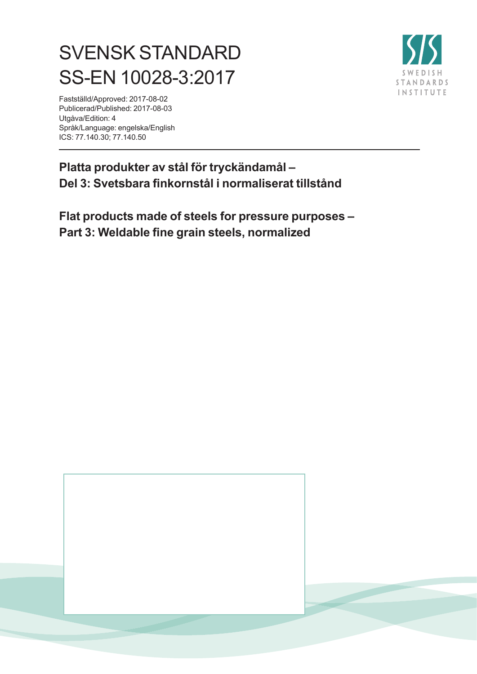# SVENSK STANDARD SS-EN 10028-3:2017

Fastställd/Approved: 2017-08-02 Publicerad/Published: 2017-08-03 Utgåva/Edition: 4 Språk/Language: engelska/English ICS: 77.140.30; 77.140.50



**Platta produkter av stål för tryckändamål – Del 3: Svetsbara finkornstål i normaliserat tillstånd**

**Flat products made of steels for pressure purposes – Part 3: Weldable fine grain steels, normalized**

This preview is downloaded from www.sis.se. Buy the entire standard via https://www.sis.se/std-8027821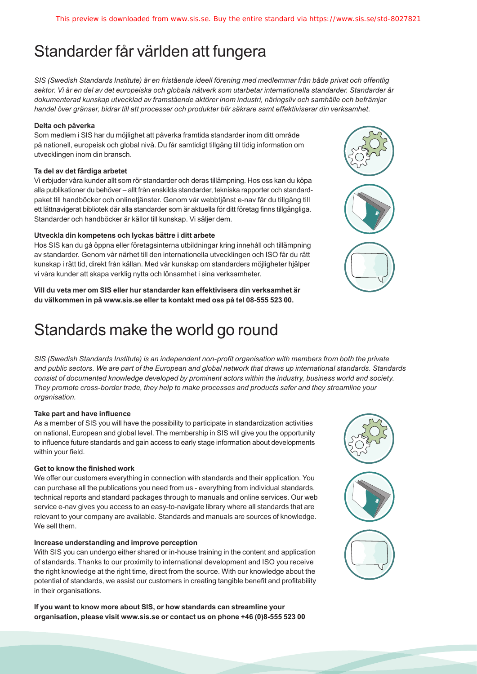# Standarder får världen att fungera

*SIS (Swedish Standards Institute) är en fristående ideell förening med medlemmar från både privat och offentlig sektor. Vi är en del av det europeiska och globala nätverk som utarbetar internationella standarder. Standarder är dokumenterad kunskap utvecklad av framstående aktörer inom industri, näringsliv och samhälle och befrämjar handel över gränser, bidrar till att processer och produkter blir säkrare samt effektiviserar din verksamhet.* 

#### **Delta och påverka**

Som medlem i SIS har du möjlighet att påverka framtida standarder inom ditt område på nationell, europeisk och global nivå. Du får samtidigt tillgång till tidig information om utvecklingen inom din bransch.

#### **Ta del av det färdiga arbetet**

Vi erbjuder våra kunder allt som rör standarder och deras tillämpning. Hos oss kan du köpa alla publikationer du behöver – allt från enskilda standarder, tekniska rapporter och standardpaket till handböcker och onlinetjänster. Genom vår webbtjänst e-nav får du tillgång till ett lättnavigerat bibliotek där alla standarder som är aktuella för ditt företag finns tillgängliga. Standarder och handböcker är källor till kunskap. Vi säljer dem.

#### **Utveckla din kompetens och lyckas bättre i ditt arbete**

Hos SIS kan du gå öppna eller företagsinterna utbildningar kring innehåll och tillämpning av standarder. Genom vår närhet till den internationella utvecklingen och ISO får du rätt kunskap i rätt tid, direkt från källan. Med vår kunskap om standarders möjligheter hjälper vi våra kunder att skapa verklig nytta och lönsamhet i sina verksamheter.

**Vill du veta mer om SIS eller hur standarder kan effektivisera din verksamhet är du välkommen in på www.sis.se eller ta kontakt med oss på tel 08-555 523 00.**

# Standards make the world go round

*SIS (Swedish Standards Institute) is an independent non-profit organisation with members from both the private and public sectors. We are part of the European and global network that draws up international standards. Standards consist of documented knowledge developed by prominent actors within the industry, business world and society. They promote cross-border trade, they help to make processes and products safer and they streamline your organisation.*

#### **Take part and have influence**

As a member of SIS you will have the possibility to participate in standardization activities on national, European and global level. The membership in SIS will give you the opportunity to influence future standards and gain access to early stage information about developments within your field.

#### **Get to know the finished work**

We offer our customers everything in connection with standards and their application. You can purchase all the publications you need from us - everything from individual standards, technical reports and standard packages through to manuals and online services. Our web service e-nav gives you access to an easy-to-navigate library where all standards that are relevant to your company are available. Standards and manuals are sources of knowledge. We sell them.

#### **Increase understanding and improve perception**

With SIS you can undergo either shared or in-house training in the content and application of standards. Thanks to our proximity to international development and ISO you receive the right knowledge at the right time, direct from the source. With our knowledge about the potential of standards, we assist our customers in creating tangible benefit and profitability in their organisations.

**If you want to know more about SIS, or how standards can streamline your organisation, please visit www.sis.se or contact us on phone +46 (0)8-555 523 00**



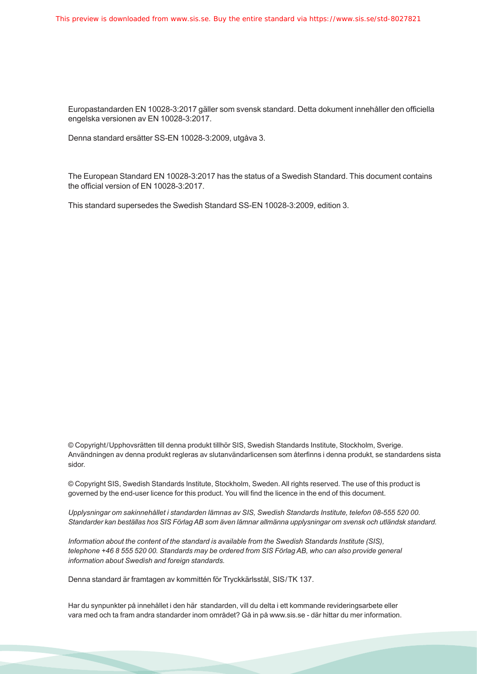Europastandarden EN 10028-3:2017 gäller som svensk standard. Detta dokument innehåller den officiella engelska versionen av EN 10028-3:2017.

Denna standard ersätter SS-EN 10028-3:2009, utgåva 3.

The European Standard EN 10028-3:2017 has the status of a Swedish Standard. This document contains the official version of EN 10028-3:2017.

This standard supersedes the Swedish Standard SS-EN 10028-3:2009, edition 3.

© Copyright / Upphovsrätten till denna produkt tillhör SIS, Swedish Standards Institute, Stockholm, Sverige. Användningen av denna produkt regleras av slutanvändarlicensen som återfinns i denna produkt, se standardens sista sidor.

© Copyright SIS, Swedish Standards Institute, Stockholm, Sweden. All rights reserved. The use of this product is governed by the end-user licence for this product. You will find the licence in the end of this document.

*Upplysningar om sakinnehållet i standarden lämnas av SIS, Swedish Standards Institute, telefon 08-555 520 00. Standarder kan beställas hos SIS Förlag AB som även lämnar allmänna upplysningar om svensk och utländsk standard.*

*Information about the content of the standard is available from the Swedish Standards Institute (SIS), telephone +46 8 555 520 00. Standards may be ordered from SIS Förlag AB, who can also provide general information about Swedish and foreign standards.*

Denna standard är framtagen av kommittén för Tryckkärlsstål, SIS / TK 137.

Har du synpunkter på innehållet i den här standarden, vill du delta i ett kommande revideringsarbete eller vara med och ta fram andra standarder inom området? Gå in på www.sis.se - där hittar du mer information.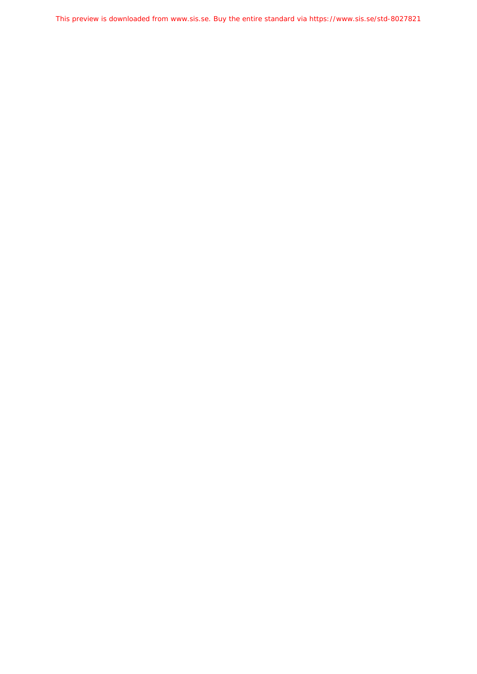This preview is downloaded from www.sis.se. Buy the entire standard via https://www.sis.se/std-8027821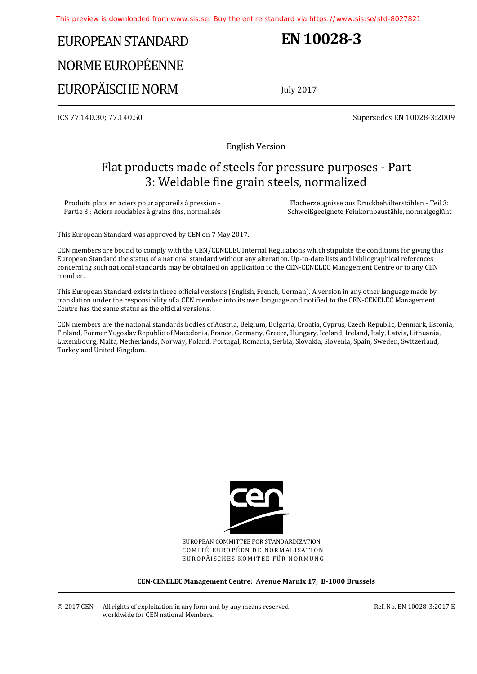# EUROPEAN STANDARD NORME EUROPÉENNE EUROPÄISCHE NORM

# **EN 10028-3**

July 2017

ICS 77.140.30; 77.140.50 Supersedes EN 10028-3:2009

English Version

# Flat products made of steels for pressure purposes - Part 3: Weldable fine grain steels, normalized

Produits plats en aciers pour appareils à pression - Partie 3 : Aciers soudables à grains fins, normalisés

 Flacherzeugnisse aus Druckbehälterstählen - Teil 3: Schweißgeeignete Feinkornbaustähle, normalgeglüht

This European Standard was approved by CEN on 7 May 2017.

CEN members are bound to comply with the CEN/CENELEC Internal Regulations which stipulate the conditions for giving this European Standard the status of a national standard without any alteration. Up-to-date lists and bibliographical references concerning such national standards may be obtained on application to the CEN-CENELEC Management Centre or to any CEN member.

This European Standard exists in three official versions (English, French, German). A version in any other language made by translation under the responsibility of a CEN member into its own language and notified to the CEN-CENELEC Management Centre has the same status as the official versions.

CEN members are the national standards bodies of Austria, Belgium, Bulgaria, Croatia, Cyprus, Czech Republic, Denmark, Estonia, Finland, Former Yugoslav Republic of Macedonia, France, Germany, Greece, Hungary, Iceland, Ireland, Italy, Latvia, Lithuania, Luxembourg, Malta, Netherlands, Norway, Poland, Portugal, Romania, Serbia, Slovakia, Slovenia, Spain, Sweden, Switzerland, Turkey and United Kingdom.



EUROPEAN COMMITTEE FOR STANDARDIZATION COMITÉ EUROPÉEN DE NORMALISATION EUROPÄISCHES KOMITEE FÜR NORMUNG

**CEN-CENELEC Management Centre: Avenue Marnix 17, B-1000 Brussels**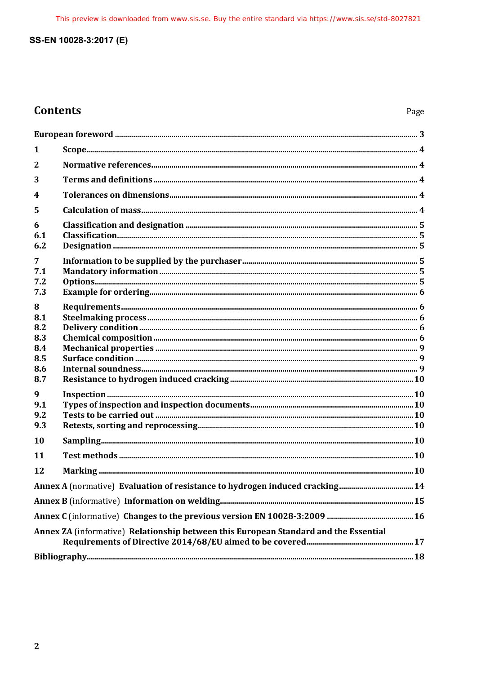This preview is downloaded from www.sis.se. Buy the entire standard via https://www.sis.se/std-8027821

## SS-EN 10028-3:2017 (E)

## **Contents**

| 1                                                  |                                                                                      |  |  |  |  |
|----------------------------------------------------|--------------------------------------------------------------------------------------|--|--|--|--|
| $\overline{2}$                                     |                                                                                      |  |  |  |  |
| 3                                                  |                                                                                      |  |  |  |  |
| $\overline{\mathbf{4}}$                            |                                                                                      |  |  |  |  |
| 5                                                  |                                                                                      |  |  |  |  |
| 6<br>6.1<br>6.2                                    |                                                                                      |  |  |  |  |
| 7<br>7.1<br>7.2<br>7.3                             |                                                                                      |  |  |  |  |
| 8<br>8.1<br>8.2<br>8.3<br>8.4<br>8.5<br>8.6<br>8.7 |                                                                                      |  |  |  |  |
| 9<br>9.1<br>9.2<br>9.3<br>10                       |                                                                                      |  |  |  |  |
| 11                                                 |                                                                                      |  |  |  |  |
| 12                                                 |                                                                                      |  |  |  |  |
|                                                    |                                                                                      |  |  |  |  |
|                                                    |                                                                                      |  |  |  |  |
|                                                    |                                                                                      |  |  |  |  |
|                                                    |                                                                                      |  |  |  |  |
|                                                    | Annex ZA (informative) Relationship between this European Standard and the Essential |  |  |  |  |
|                                                    |                                                                                      |  |  |  |  |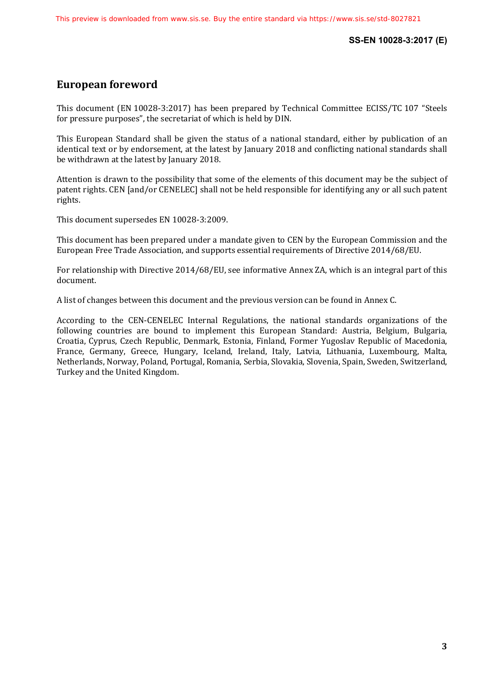## <span id="page-6-0"></span>**European foreword**

This document (EN 10028-3:2017) has been prepared by Technical Committee ECISS/TC 107 "Steels for pressure purposes", the secretariat of which is held by DIN.

This European Standard shall be given the status of a national standard, either by publication of an identical text or by endorsement, at the latest by January 2018 and conflicting national standards shall be withdrawn at the latest by January 2018.

Attention is drawn to the possibility that some of the elements of this document may be the subject of patent rights. CEN [and/or CENELEC] shall not be held responsible for identifying any or all such patent rights.

This document supersedes EN 10028-3:2009.

This document has been prepared under a mandate given to CEN by the European Commission and the European Free Trade Association, and supports essential requirements of Directive 2014/68/EU.

For relationship with Directive 2014/68/EU, see informative Annex ZA, which is an integral part of this document.

A list of changes between this document and the previous version can be found in Annex C.

According to the CEN-CENELEC Internal Regulations, the national standards organizations of the following countries are bound to implement this European Standard: Austria, Belgium, Bulgaria, Croatia, Cyprus, Czech Republic, Denmark, Estonia, Finland, Former Yugoslav Republic of Macedonia, France, Germany, Greece, Hungary, Iceland, Ireland, Italy, Latvia, Lithuania, Luxembourg, Malta, Netherlands, Norway, Poland, Portugal, Romania, Serbia, Slovakia, Slovenia, Spain, Sweden, Switzerland, Turkey and the United Kingdom.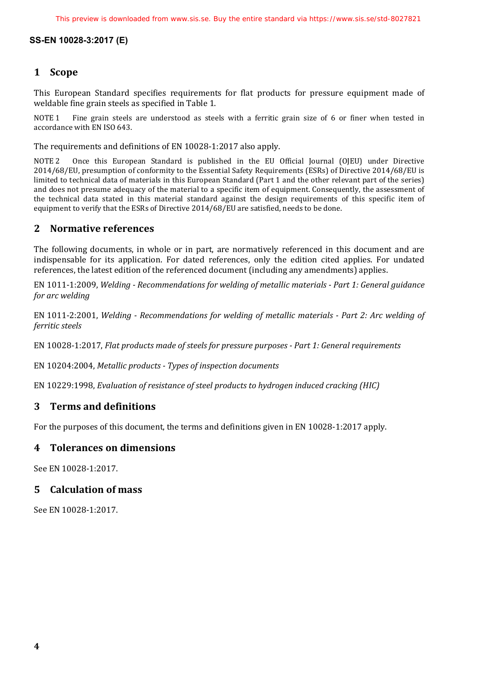## <span id="page-7-0"></span>**1 Scope**

This European Standard specifies requirements for flat products for pressure equipment made of weldable fine grain steels as specified in Table 1.

NOTE 1 Fine grain steels are understood as steels with a ferritic grain size of 6 or finer when tested in accordance with EN ISO 643.

The requirements and definitions of EN 10028-1:2017 also apply.

NOTE 2 Once this European Standard is published in the EU Official Journal (OJEU) under Directive 2014/68/EU, presumption of conformity to the Essential Safety Requirements (ESRs) of Directive 2014/68/EU is limited to technical data of materials in this European Standard (Part 1 and the other relevant part of the series) and does not presume adequacy of the material to a specific item of equipment. Consequently, the assessment of the technical data stated in this material standard against the design requirements of this specific item of equipment to verify that the ESRs of Directive 2014/68/EU are satisfied, needs to be done.

#### <span id="page-7-1"></span>**2 Normative references**

The following documents, in whole or in part, are normatively referenced in this document and are indispensable for its application. For dated references, only the edition cited applies. For undated references, the latest edition of the referenced document (including any amendments) applies.

EN 1011-1:2009, *Welding - Recommendations for welding of metallic materials - Part 1: General guidance for arc welding*

EN 1011-2:2001, *Welding - Recommendations for welding of metallic materials - Part 2: Arc welding of ferritic steels*

EN 10028-1:2017, *Flat products made of steels for pressure purposes - Part 1: General requirements*

EN 10204:2004, *Metallic products - Types of inspection documents*

EN 10229:1998, *Evaluation of resistance of steel products to hydrogen induced cracking (HIC)*

#### <span id="page-7-2"></span>**3 Terms and definitions**

For the purposes of this document, the terms and definitions given in EN 10028-1:2017 apply.

#### <span id="page-7-3"></span>**4 Tolerances on dimensions**

See EN 10028-1:2017.

#### <span id="page-7-4"></span>**5 Calculation of mass**

See EN 10028-1:2017.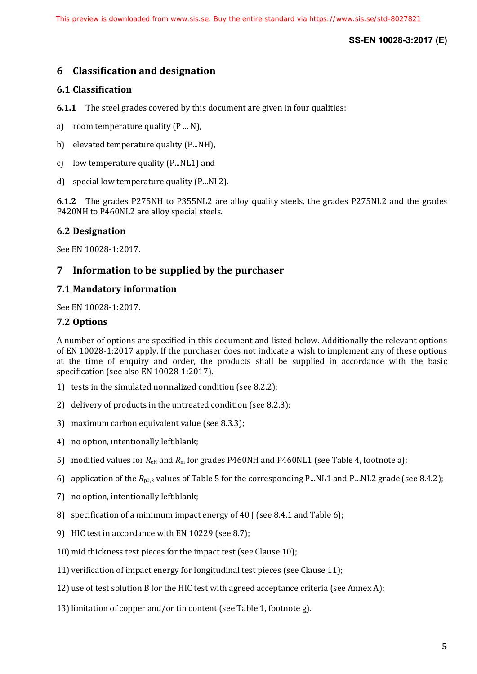### <span id="page-8-0"></span>**6 Classification and designation**

#### <span id="page-8-1"></span>**6.1 Classification**

**6.1.1** The steel grades covered by this document are given in four qualities:

- a) room temperature quality  $(P_ " . . N)$ ,
- b) elevated temperature quality (P...NH),
- c) low temperature quality (P...NL1) and
- d) special low temperature quality (P...NL2).

**6.1.2** The grades P275NH to P355NL2 are alloy quality steels, the grades P275NL2 and the grades P420NH to P460NL2 are alloy special steels.

#### <span id="page-8-2"></span>**6.2 Designation**

See EN 10028-1:2017.

### <span id="page-8-3"></span>**7 Information to be supplied by the purchaser**

#### <span id="page-8-4"></span>**7.1 Mandatory information**

See EN 10028-1:2017.

#### <span id="page-8-5"></span>**7.2 Options**

A number of options are specified in this document and listed below. Additionally the relevant options of EN 10028-1:2017 apply. If the purchaser does not indicate a wish to implement any of these options at the time of enquiry and order, the products shall be supplied in accordance with the basic specification (see also EN 10028-1:2017).

- 1) tests in the simulated normalized condition (see 8.2.2);
- 2) delivery of products in the untreated condition (see 8.2.3);
- 3) maximum carbon equivalent value (see 8.3.3);
- 4) no option, intentionally left blank;
- 5) modified values for  $R_{\text{eH}}$  and  $R_{\text{m}}$  for grades P460NH and P460NL1 (see Table 4, footnote a);
- 6) application of the  $R_{p0,2}$  values of Table 5 for the corresponding P...NL1 and P...NL2 grade (see 8.4.2);
- 7) no option, intentionally left blank;
- 8) specification of a minimum impact energy of 40 J (see 8.4.1 and Table 6);
- 9) HIC test in accordance with EN 10229 (see 8.7);
- 10) mid thickness test pieces for the impact test (see Clause 10);
- 11) verification of impact energy for longitudinal test pieces (see Clause 11);
- 12) use of test solution B for the HIC test with agreed acceptance criteria (see Annex A);
- 13)limitation of copper and/or tin content (see Table 1, footnote g).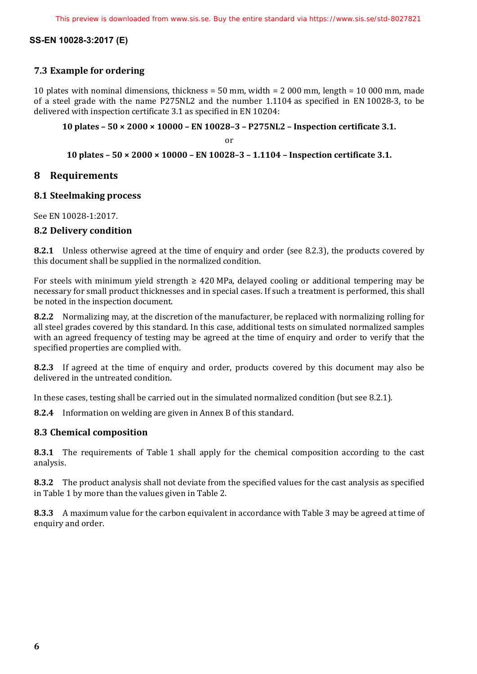### <span id="page-9-0"></span>**7.3 Example for ordering**

10 plates with nominal dimensions, thickness = 50 mm, width = 2 000 mm, length = 10 000 mm, made of a steel grade with the name P275NL2 and the number 1.1104 as specified in EN 10028-3, to be delivered with inspection certificate 3.1 as specified in EN 10204:

#### **10 plates – 50 × 2000 × 10000 – EN 10028–3 – P275NL2 – Inspection certificate 3.1.**

or

**10 plates – 50 × 2000 × 10000 – EN 10028–3 – 1.1104 – Inspection certificate 3.1.**

### <span id="page-9-1"></span>**8 Requirements**

#### <span id="page-9-2"></span>**8.1 Steelmaking process**

See EN 10028-1:2017.

#### <span id="page-9-3"></span>**8.2 Delivery condition**

**8.2.1** Unless otherwise agreed at the time of enquiry and order (see 8.2.3), the products covered by this document shall be supplied in the normalized condition.

For steels with minimum yield strength  $\geq 420$  MPa, delayed cooling or additional tempering may be necessary for small product thicknesses and in special cases. If such a treatment is performed, this shall be noted in the inspection document.

**8.2.2** Normalizing may, at the discretion of the manufacturer, be replaced with normalizing rolling for all steel grades covered by this standard. In this case, additional tests on simulated normalized samples with an agreed frequency of testing may be agreed at the time of enquiry and order to verify that the specified properties are complied with.

**8.2.3** If agreed at the time of enquiry and order, products covered by this document may also be delivered in the untreated condition.

In these cases, testing shall be carried out in the simulated normalized condition (but see 8.2.1).

**8.2.4** Information on welding are given in Annex B of this standard.

#### <span id="page-9-4"></span>**8.3 Chemical composition**

**8.3.1** The requirements of Table 1 shall apply for the chemical composition according to the cast analysis.

**8.3.2** The product analysis shall not deviate from the specified values for the cast analysis as specified in Table 1 by more than the values given in Table 2.

**8.3.3** A maximum value for the carbon equivalent in accordance with Table 3 may be agreed at time of enquiry and order.